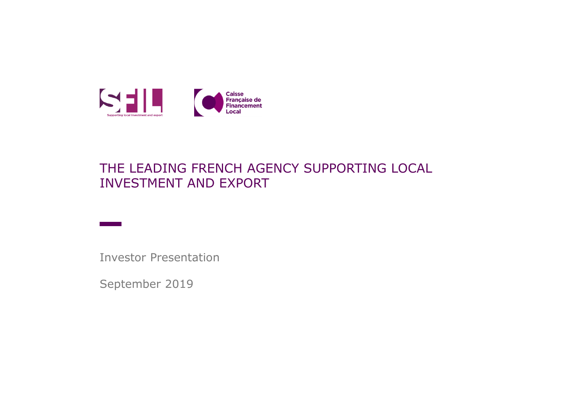

#### THE LEADING FRENCH AGENCY SUPPORTING LOCAL INVESTMENT AND EXPORT

Investor Presentation

September 2019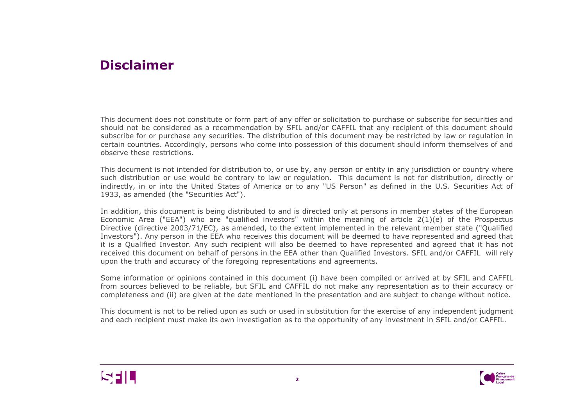#### **Disclaimer**

This document does not constitute or form part of any offer or solicitation to purchase or subscribe for securities and should not be considered as <sup>a</sup> recommendation by SFIL and/or CAFFIL that any recipient of this document should subscribe for or purchase any securities. The distribution of this document may be restricted by law or regulation in certain countries. Accordingly, persons who come into possession of this document should inform themselves of and observe these restrictions.

This document is not intended for distribution to, or use by, any person or entity in any jurisdiction or country where such distribution or use would be contrary to law or regulation. This document is not for distribution, directly or indirectly, in or into the United States of America or to any "US Person" as defined in the U.S. Securities Act of 1933, as amended (the "Securities Act").

In addition, this document is being distributed to and is directed only at persons in member states of the European Economic Area ("EEA") who are "qualified investors" within the meaning of article 2(1)(e) of the Prospectus Directive (directive 2003/71/EC), as amended, to the extent implemented in the relevant member state ("Qualified Investors"). Any person in the EEA who receives this document will be deemed to have represented and agreed that it is <sup>a</sup> Qualified Investor. Any such recipient will also be deemed to have represented and agreed that it has not received this document on behalf of persons in the EEA other than Qualified Investors. SFIL and/or CAFFIL will rely upon the truth and accuracy of the foregoing representations and agreements.

Some information or opinions contained in this document (i) have been compiled or arrived at by SFIL and CAFFIL from sources believed to be reliable, but SFIL and CAFFIL do not make any representation as to their accuracy or completeness and (ii) are given at the date mentioned in the presentation and are subject to change without notice.

This document is not to be relied upon as such or used in substitution for the exercise of any independent judgment and each recipient must make its own investigation as to the opportunity of any investment in SFIL and/or CAFFIL.



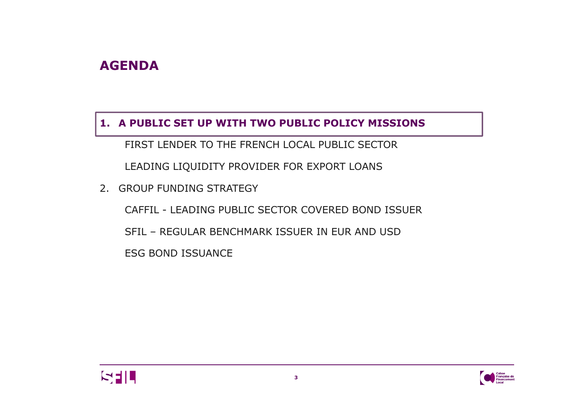## **AGENDA**

#### **1. A PUBLIC SET UP WITH TWO PUBLIC POLICY MISSIONS**

FIRST LENDER TO THE FRENCH LOCAL PUBLIC SECTOR

LEADING LIQUIDITY PROVIDER FOR EXPORT LOANS

2. GROUP FUNDING STRATEGY

CAFFIL - LEADING PUBLIC SECTOR COVERED BOND ISSUER

SFIL – REGULAR BENCHMARK ISSUER IN EUR AND USD

ESG BOND ISSUANCE



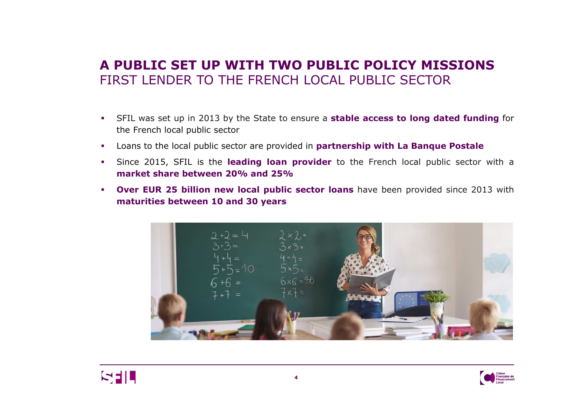## **A PUBLIC SET UP WITH TWO PUBLIC POLICY MISSIONS**FIRST LENDER TO THE FRENCH LOCAL PUBLIC SECTOR

- SFIL was set up in <sup>2013</sup> by the State to ensure <sup>a</sup> **stable access to long dated funding** for the French local public sector
- $\mathcal{L}_{\mathcal{A}}$ Loans to the local public sector are provided in **partnership with La Banque Postale**
- $\mathbf{m}$  . Since 2015, SFIL is the **leading loan provider** to the French local public sector with <sup>a</sup> **market share between 20% and 25%**
- **P Over EUR 25 billion new local public sector loans** have been provided since 2013 with **Contract maturities between <sup>10</sup> and <sup>30</sup> years**





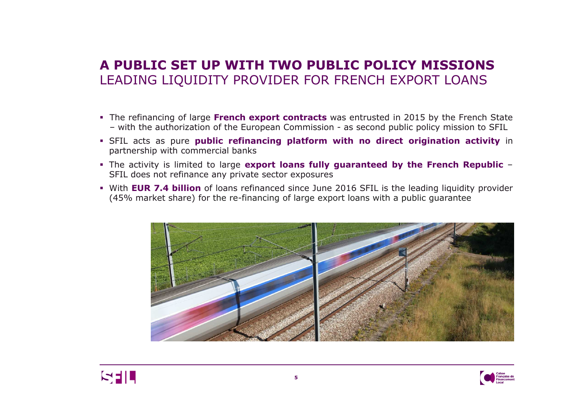### **A PUBLIC SET UP WITH TWO PUBLIC POLICY MISSIONS**LEADING LIQUIDITY PROVIDER FOR FRENCH EXPORT LOANS

- The refinancing of large **French export contracts** was entrusted in <sup>2015</sup> by the French State – with the authorization of the European Commission - as second public policy mission to SFIL
- SFIL acts as pure **public refinancing platform with no direct origination activity** in partnership with commercial banks
- The activity is limited to large **export loans fully guaranteed by the French Republic** –SFIL does not refinance any private sector exposures
- With **EUR 7.4 billion** of loans refinanced since June <sup>2016</sup> SFIL is the leading liquidity provider (45% market share) for the re-financing of large export loans with <sup>a</sup> public guarantee





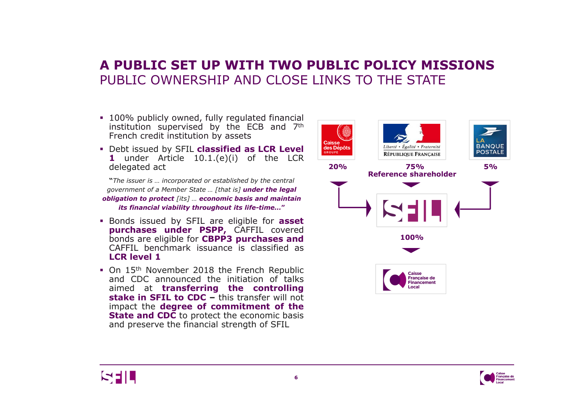## **A PUBLIC SET UP WITH TWO PUBLIC POLICY MISSIONS**PUBLIC OWNERSHIP AND CLOSE LINKS TO THE STATE

- 100% publicly owned, fully regulated financial<br>institution supervised by the FCB and 7<sup>th</sup> institution supervised by the ECB and 7<sup>th</sup> French credit institution by assets
- **1** Debt issued by SFIL **classified as LCR Level**<br>1 **under** Article 10.1.(e)(i) of the LCR **1** under Article 10.1.(e)(i) of the LCR delegated act

**"***The issuer is … incorporated or established by the central government of a Member State … [that is] under the legal obligation to protect [its] … economic basis and maintain its financial viability throughout its life-time…***"** 

- Bonds issued by SFIL are eligible for **asset purchases under PSPP,** CAFFIL covered bonds are eligible for **CBPP3 purchases and** CAFFIL benchmark issuance is classified as **LCR level <sup>1</sup>**
- On 15<sup>th</sup> November 2018 the French Republic<br>and CDC announced the initiation of talks and CDC announced the initiation of talks<br>aimed at **transferring the controlling** aimed at **transferring the controlling stake in SFIL to CDC –** this transfer will not impact the **degree of commitment of the State and CDC** to protect the economic basis and preserve the financial strength of SFIL





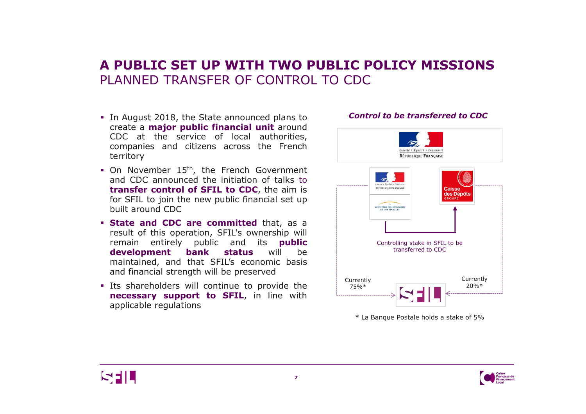### **A PUBLIC SET UP WITH TWO PUBLIC POLICY MISSIONS**PLANNED TRANSFER OF CONTROL TO CDC

- In August 2018, the State announced plans to<br>create a **major public financial unit** around create <sup>a</sup> **major public financial unit** around CDC at the service of local authorities, companies and citizens across the French territory
- On November 15<sup>th</sup>, the French Government<br>and CDC announced the initiation of talks to and CDC announced the initiation of talks to **transfer control of SFIL to CDC**, the aim is for SFIL to join the new public financial set up built around CDC
- **State and CDC are committed** that, as a<br>**Presult of this operation. SEU's ownership will** result of this operation, SFIL's ownership will remain entirely public and its **public development bank status** will be maintained, and that SFIL's economic basis<br>and financial strength will be preserved and financial strength will be preserved
- **Its shareholders will continue to provide the**<br>**Inecessary support to SETI** in line with **necessary support to SFIL**, in line with applicable regulations

# Liberté • Égalité • Fraternite RÉPUBLIQUE FRANÇAISE RÉPUBLIQUE FRANÇAIS des Dér **MINISTÈRE DE L'ÉCONO** Controlling stake in SFIL to be transferred to CDC**Currently** Currently20%\*75%\*

\* La Banque Postale holds a stake of 5%





#### *Control to be transferred to CDC*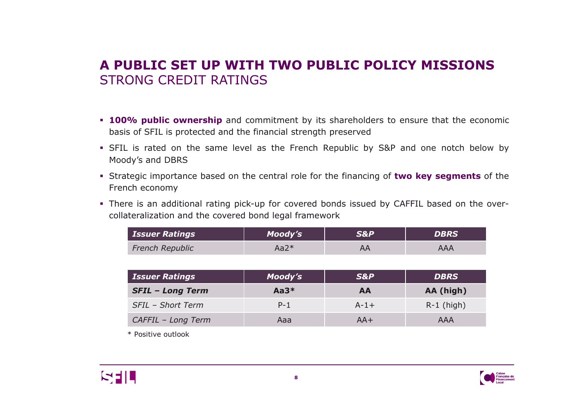# **A PUBLIC SET UP WITH TWO PUBLIC POLICY MISSIONS**STRONG CREDIT RATINGS

- **100% public ownership** and commitment by its shareholders to ensure that the economic<br>hasis of SEU is protected and the financial streagth arecenyed basis of SFIL is protected and the financial strength preserved
- SFIL is rated on the same level as the French Republic by S&P and one notch below by<br>Meedv's and DRRS Moody's and DBRS
- Strategic importance based on the central role for the financing of **two key segments** of the French economy
- There is an additional rating pick-up for covered bonds issued by CAFFIL based on the over-<br>collateralization and the covered bond local framework collateralization and the covered bond legal framework

| <b>DBRS</b> | 5& P | Moody's | <b>Issuer Ratings</b>  |
|-------------|------|---------|------------------------|
| AAA         |      | $Aa2*$  | <b>French Republic</b> |
|             |      |         |                        |

| <b>Issuer Ratings</b>   | Moody's | <b>S&amp;P</b> | <b>DBRS</b>  |
|-------------------------|---------|----------------|--------------|
| <b>SFIL - Long Term</b> | $Aa3*$  | AA             | AA (high)    |
| SFIL - Short Term       | $P-1$   | $A - 1 +$      | $R-1$ (high) |
| CAFFIL - Long Term      | Aaa     | $AA+$          | AAA          |

\* Positive outlook



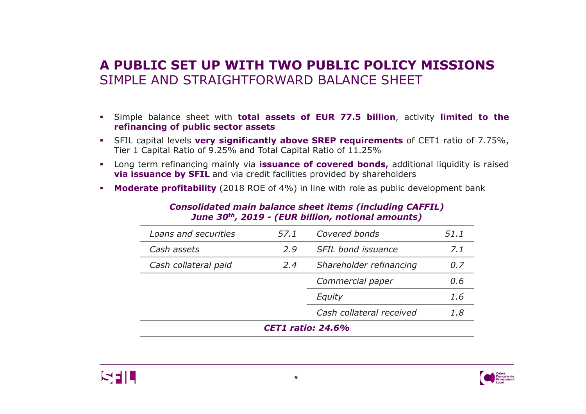## **A PUBLIC SET UP WITH TWO PUBLIC POLICY MISSIONS**SIMPLE AND STRAIGHTFORWARD BALANCE SHEFT

- Simple balance sheet with **total assets of EUR 77.5 billion**, activity **limited to the refinancing of public sector assets**
- SFIL capital levels **very significantly above SREP requirements** of CET1 ratio of 7.75%, Tier <sup>1</sup> Capital Ratio of 9.25% and Total Capital Ratio of 11.25%
- Long term refinancing mainly via **issuance of covered bonds,** additional liquidity is raised **via issuance by SFIL** and via credit facilities provided by shareholders
- **Moderate profitability** (2018 ROE of 4%) in line with role as public development bank

*Consolidated main balance sheet items (including CAFFIL)June <sup>30</sup>th, 2019 - (EUR billion, notional amounts)*

| Loans and securities     | 57.1 | Covered bonds            | 51.1 |
|--------------------------|------|--------------------------|------|
| Cash assets              | 2.9  | SFIL bond issuance       | 7.1  |
| Cash collateral paid     | 2.4  | Shareholder refinancing  | 0.7  |
|                          |      | Commercial paper         | 0.6  |
|                          |      | Equity                   | 1.6  |
|                          |      | Cash collateral received | 1.8  |
| <b>CET1 ratio: 24.6%</b> |      |                          |      |



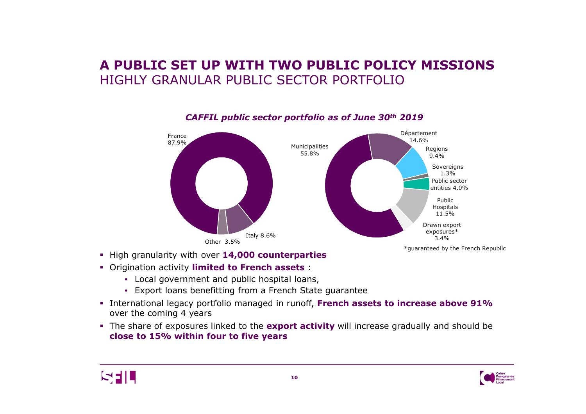## **A PUBLIC SET UP WITH TWO PUBLIC POLICY MISSIONS**HIGHLY GRANULAR PUBLIC SECTOR PORTFOLIO



#### *CAFFIL public sector portfolio as of June 30th 2019*

- High granularity with over **14,000 counterparties**
- Origination activity **limited to French assets** :
	- Local government and public hospital loans,
	- Export loans benefitting from a French State guarantee
- International legacy portfolio managed in runoff, **French assets to increase above 91%**  over the coming 4 years
- The share of exposures linked to the **export activity** will increase gradually and should be **close to 15% within four to five years**



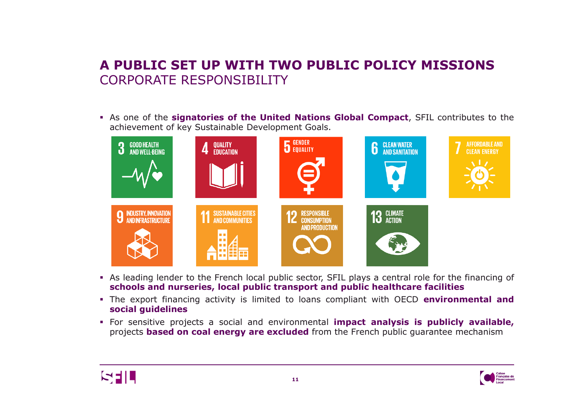# **A PUBLIC SET UP WITH TWO PUBLIC POLICY MISSIONS** CORPORATE RESPONSIBILITY

As one of the **signatories of the United Nations Global Compact**, SFIL contributes to the



- As leading lender to the French local public sector, SFIL plays a central role for the financing of<br>schools and nurseries, local public transport and public healthcare facilities **schools and nurseries, local public transport and public healthcare facilities**
- The export financing activity is limited to loans compliant with OECD **environmental and social guidelines**
- For sensitive projects <sup>a</sup> social and environmental **impact analysis is publicly available,** projects **based on coal energy are excluded** from the French public guarantee mechanism



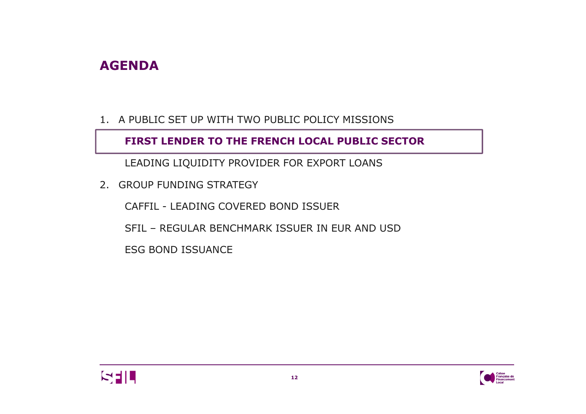## **AGENDA**

1. A PUBLIC SET UP WITH TWO PUBLIC POLICY MISSIONS

**FIRST LENDER TO THE FRENCH LOCAL PUBLIC SECTOR**

LEADING LIQUIDITY PROVIDER FOR EXPORT LOANS

2. GROUP FUNDING STRATEGY

CAFFIL - LEADING COVERED BOND ISSUER

SFIL – REGULAR BENCHMARK ISSUER IN EUR AND USD

ESG BOND ISSUANCE



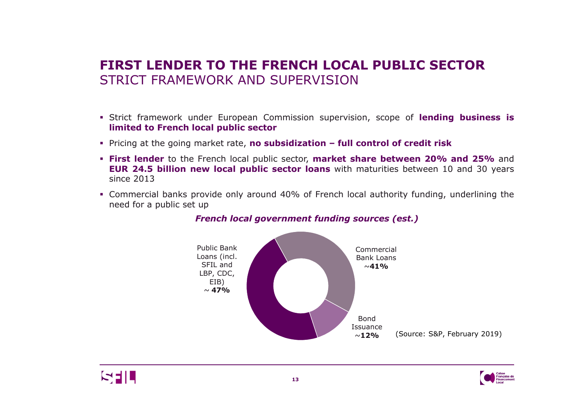## **FIRST LENDER TO THE FRENCH LOCAL PUBLIC SECTOR**STRICT FRAMEWORK AND SUPERVISION

- Strict framework under European Commission supervision, scope of **lending business is limited to French local public sector**
- Pricing at the going market rate, **no subsidization – full control of credit risk**
- **First lender** to the French local public sector, **market share between 20% and 25%%** and<br>) years **EUR 24.5 billion new local public sector loans** with maturities between <sup>10</sup> and <sup>30</sup> years since <sup>2013</sup>
- Commercial banks provide only around 40% of French local authority funding, underlining the<br>need for a public set un need for <sup>a</sup> public set up



#### *French local government funding sources (est.)*



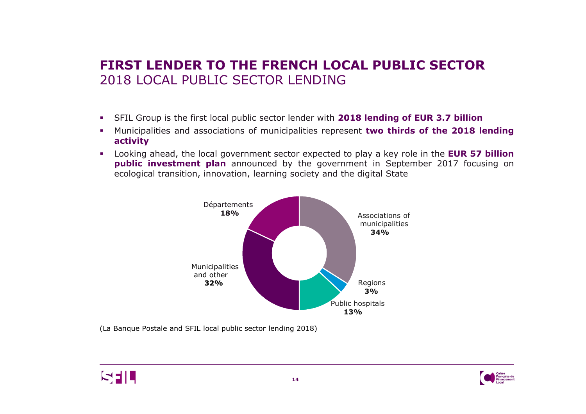## **FIRST LENDER TO THE FRENCH LOCAL PUBLIC SECTOR**2018 LOCAL PUBLIC SECTOR LENDING

- SFIL Group is the first local public sector lender with **<sup>2018</sup> lending of EUR 3.7 billion**
- Municipalities and associations of municipalities represent **two thirds of the <sup>2018</sup> lending activity**
- Looking ahead, the local government sector expected to play <sup>a</sup> key role in the **EUR <sup>57</sup> billion**  $\mathbf{B}^{\mathrm{max}}$ **public investment plan** announced by the government in September 2017 focusing on ecological transition, innovation, learning society and the digital State



(La Banque Postale and SFIL local public sector lending 2018)



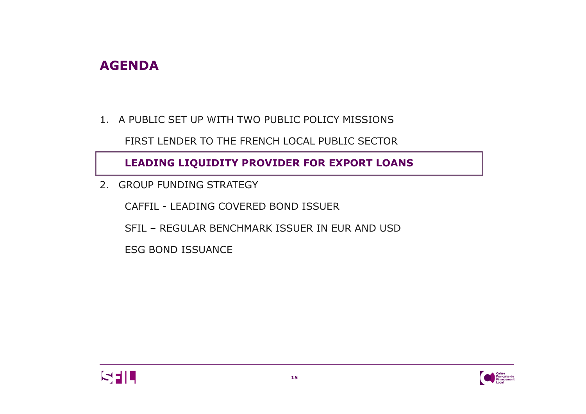## **AGENDA**

1. A PUBLIC SET UP WITH TWO PUBLIC POLICY MISSIONS

FIRST LENDER TO THE FRENCH LOCAL PUBLIC SECTOR

**LEADING LIQUIDITY PROVIDER FOR EXPORT LOANS**

2. GROUP FUNDING STRATEGY

CAFFIL - LEADING COVERED BOND ISSUER

SFIL – REGULAR BENCHMARK ISSUER IN EUR AND USD

ESG BOND ISSUANCE



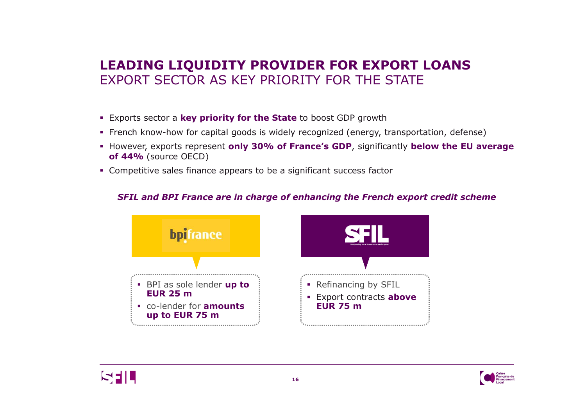## **LEADING LIQUIDITY PROVIDER FOR EXPORT LOANS** EXPORT SECTOR AS KEY PRIORITY FOR THE STATE

- Exports sector <sup>a</sup> **key priority for the State** to boost GDP growth
- French know-how for capital goods is widely recognized (energy, transportation, defense)
- However, exports represent **only 30% of France's GDP**, significantly **below the EU average of 44%** (source OECD)
- Competitive sales finance appears to be <sup>a</sup> significant success factor

#### *SFIL and BPI France are in charge of enhancing the French export credit scheme*





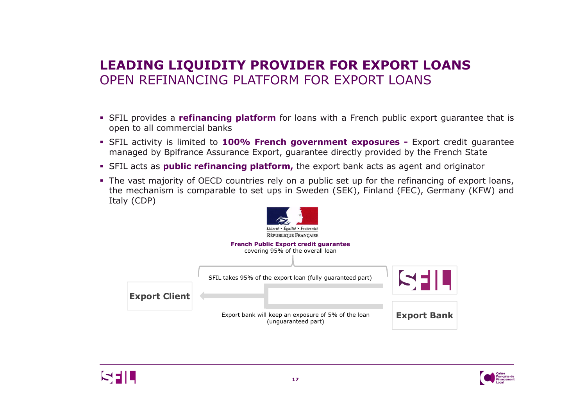# **LEADING LIQUIDITY PROVIDER FOR EXPORT LOANS** OPEN REFINANCING PLATFORM FOR EXPORT LOANS

- **SFIL provides a <b>refinancing platform** for loans with a French public export guarantee that is<br>conen to all commercial banks open to all commercial banks
- SFIL activity is limited to **100% French government exposures -** Export credit guarantee managed by Bpifrance Assurance Export, guarantee directly provided by the French State
- **SFIL acts as public refinancing platform,** the export bank acts as agent and originator
- The vast majority of OECD countries rely on a public set up for the refinancing of export loans,<br>the mechanism is comparable to set uns in Sweden (SEK), Finland (FEC), Germany (KEW) and the mechanism is comparable to set ups in Sweden (SEK), Finland (FEC), Germany (KFW) and Italy (CDP)





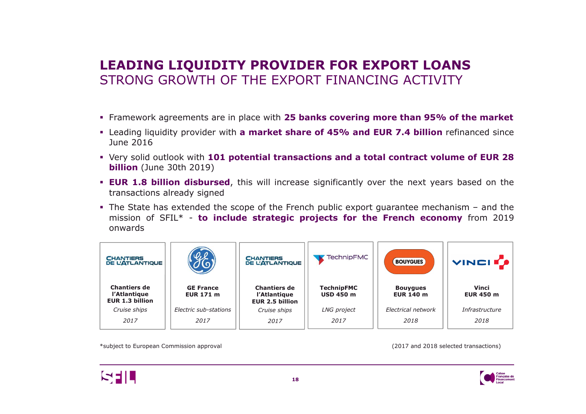## **LEADING LIQUIDITY PROVIDER FOR EXPORT LOANS** STRONG GROWTH OF THE EXPORT FINANCING ACTIVITY

- Framework agreements are in place with **<sup>25</sup> banks covering more than 95% of the market**
- Leading liquidity provider with **<sup>a</sup> market share of 45% and EUR 7.4 billion** refinanced since June <sup>2016</sup>
- Very solid outlook with 101 potential transactions and a total contract volume of EUR 28<br>**Aillion** (June 30th 2019) **billion** (June 30th 2019)
- **EUR 1.8 billion disbursed**, this will increase significantly over the next years based on the transactions already signed transactions already signed
- The State has extended the scope of the French public export guarantee mechanism and the<br>mission of SEU \* **to include strategic projects for the French economy** from 2019 mission of SFIL\* - **to include strategic projects for the French economy** from <sup>2019</sup> onwards

| <b>CHANTIERS</b><br><b>DE L'ATLANTIQUE</b>                    |                                      | <b>CHANTIERS</b><br><b>DE L'ATLANTIQUE</b>                    | <b>TechnipFMC</b>                     | <b>BOUYGUES</b>                     | <b>VINCITS</b>                   |
|---------------------------------------------------------------|--------------------------------------|---------------------------------------------------------------|---------------------------------------|-------------------------------------|----------------------------------|
| <b>Chantiers de</b><br>l'Atlantique<br><b>EUR 1.3 billion</b> | <b>GE France</b><br><b>EUR 171 m</b> | <b>Chantiers de</b><br>l'Atlantique<br><b>EUR 2.5 billion</b> | <b>TechnipFMC</b><br><b>USD 450 m</b> | <b>Bouygues</b><br><b>EUR 140 m</b> | <b>Vinci</b><br><b>EUR 450 m</b> |
| Cruise ships                                                  | Electric sub-stations                | Cruise ships                                                  | LNG project                           | Electrical network                  | Infrastructure                   |
| 2017                                                          | 2017                                 | 2017                                                          | 2017                                  | 2018                                | 2018                             |

\*subject to European Commission approval (2017 and <sup>2018</sup> selected transactions)



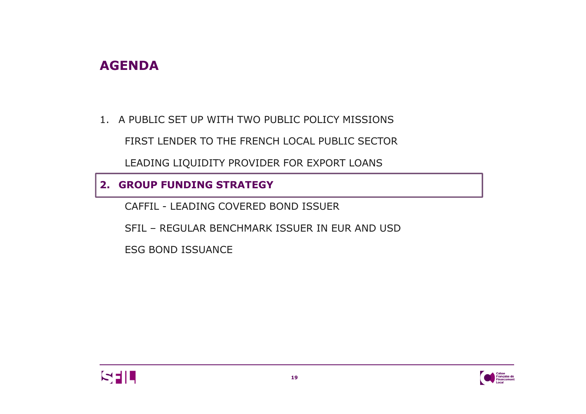## **AGENDA**

1. A PUBLIC SET UP WITH TWO PUBLIC POLICY MISSIONS

FIRST LENDER TO THE FRENCH LOCAL PUBLIC SECTOR

LEADING LIQUIDITY PROVIDER FOR EXPORT LOANS

#### **2. GROUP FUNDING STRATEGY**

CAFFIL - LEADING COVERED BOND ISSUER

SFIL – REGULAR BENCHMARK ISSUER IN EUR AND USD

ESG BOND ISSUANCE



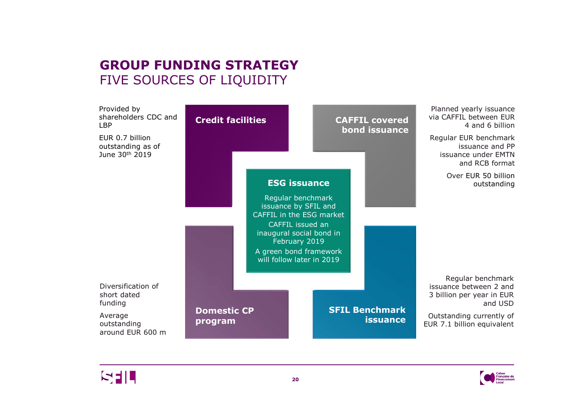# **GROUP FUNDING STRATEGY**FIVE SOURCES OF LIQUIDITY





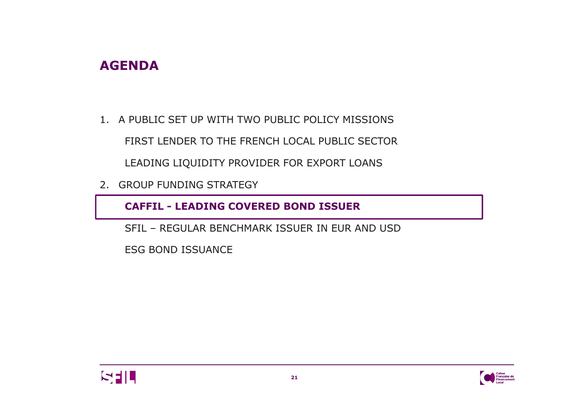## **AGENDA**

1. A PUBLIC SET UP WITH TWO PUBLIC POLICY MISSIONS

FIRST LENDER TO THE FRENCH LOCAL PUBLIC SECTOR

LEADING LIQUIDITY PROVIDER FOR EXPORT LOANS

2. GROUP FUNDING STRATEGY

**CAFFIL - LEADING COVERED BOND ISSUER**

SFIL – REGULAR BENCHMARK ISSUER IN EUR AND USD

ESG BOND ISSUANCE



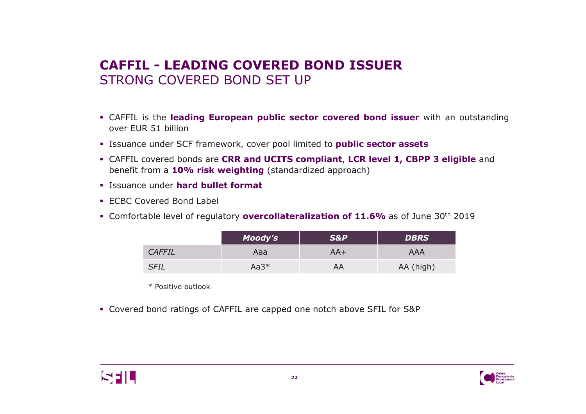## **CAFFIL - LEADING COVERED BOND ISSUER** STRONG COVERED BOND SET UP

- CAFFIL is the **leading European public sector covered bond issuer** with an outstanding over EUR <sup>51</sup> billion
- Issuance under SCF framework, cover pool limited to **public sector assets**
- CAFFIL covered bonds are **CRR and UCITS compliant**, **LCR level 1, CBPP 3 eligible** and benefit from a **10% risk weighting** (standardized approach)
- Issuance under **hard bullet format**
- ECBC Covered Bond Label
- Comfortable level of regulatory **overcollateralization of 11.6%** as of June <sup>30</sup>th <sup>2019</sup>

|               | Moody's | <b>S&amp;P</b> | <b>DBRS</b> |
|---------------|---------|----------------|-------------|
| <b>CAFFIL</b> | Aaa     | $AA+$          | AAA         |
| <b>SFIL</b>   | $Aa3*$  | AA             | AA (high)   |

\* Positive outlook

Covered bond ratings of CAFFIL are capped one notch above SFIL for S&P



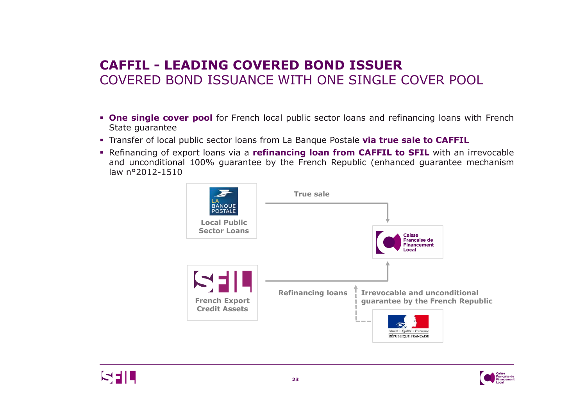# **CAFFIL - LEADING COVERED BOND ISSUER** COVERED BOND ISSUANCE WITH ONE SINGLE COVER POOL

- **Die single cover pool** for French local public sector loans and refinancing loans with French<br>State quarantee State guarantee
- Transfer of local public sector loans from La Banque Postale **via true sale to CAFFIL**
- Refinancing of export loans via <sup>a</sup> **refinancing loan fromm CAFFIL to SFIL** with an irrevocable<br>ublic (enhanced quarantee mechanism and unconditional 100% guarantee by the French Republic (enhanced guarantee mechanism<br>Iaw n°2012-1510 law <sup>n</sup>°2012-1510





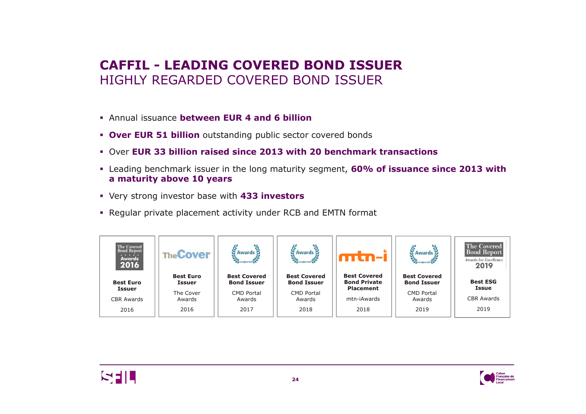## **CAFFIL - LEADING COVERED BOND ISSUER** HIGHLY REGARDED COVERED BOND ISSUER

- Annual issuance **between EUR 4 and 6 billion**
- **Over EUR 51 billion** outstanding public sector covered bonds
- Over **EUR 33 billion raised since 2013 with 20 benchmark transactions**
- Leading benchmark issuer in the long maturity segment, **60% of issuance since 2013 with a maturity above 10 years**
- Very strong investor base with **433 investors**
- Regular private placement activity under RCB and EMTN format





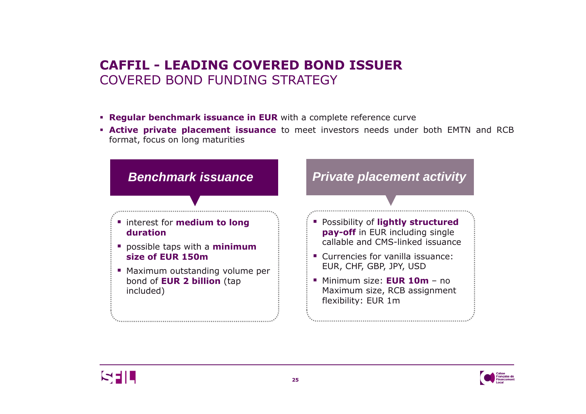## **CAFFIL - LEADING COVERED BOND ISSUER** COVERED BOND FUNDING STRATEGY

- **Regular benchmark issuance in EUR** with <sup>a</sup> complete reference curve
- **Active private placement issuance** to meet investors needs under both EMTN and RCB<br>**Format focus on long maturities** format, focus on long maturities





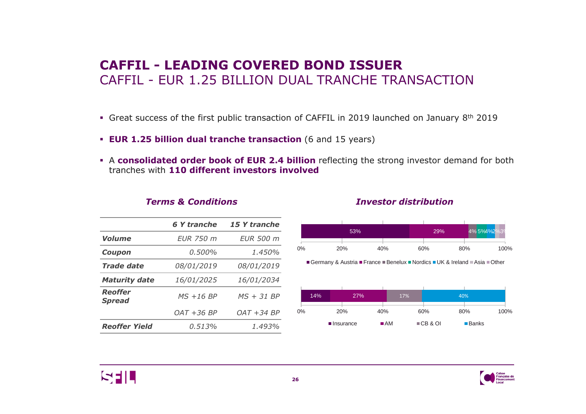#### **CAFFIL - LEADING COVERED BOND ISSUER** CAFFIL - EUR 1.25 BILLION DUAL TRANCHE TRANSACTION

- **Great success of the first public transaction of CAFFIL in 2019 launched on January 8th 2019**
- **EUR 1.25 billion dual tranche transaction** (6 and <sup>15</sup> years)
- A consolidated order book of EUR 2.4 billion reflecting the strong investor demand for both<br>tranches with 110 different investors involved tranches with **<sup>110</sup> different investors involved**

|                                 | 6 Y tranche              | 15 Y tranche  |
|---------------------------------|--------------------------|---------------|
| Volume                          | <b>EUR 750 m</b>         | EUR 500 m     |
| Coupon                          | $0.500\%$                | 1.450%        |
| <b>Trade date</b>               | <i>08/01/2019</i>        | 08/01/2019    |
| <b>Maturity date</b>            | 16/01/2025<br>16/01/2034 |               |
| <b>Reoffer</b><br><b>Spread</b> | $MS + 16 BP$             | $MS + 31 BP$  |
|                                 | $OAT + 36 BP$            | $OAT + 34 BP$ |
| <b>Reoffer Yield</b>            | 0.513%                   | 1.493%        |
|                                 |                          |               |

#### *Terms & Conditions Investor distribution*



Germany & Austria ■ France ■Benelux ■Nordics ■UK & Ireland ■Asia ■Other





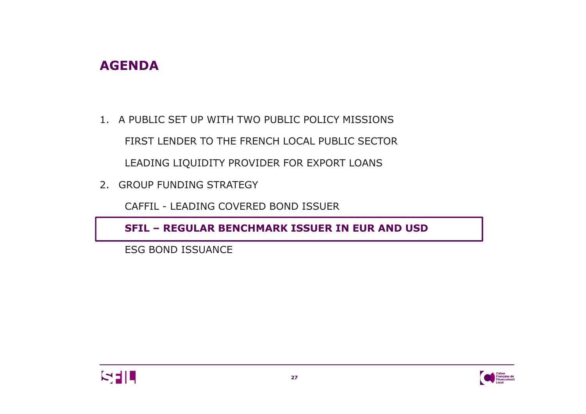## **AGENDA**

1. A PUBLIC SET UP WITH TWO PUBLIC POLICY MISSIONS FIRST LENDER TO THE FRENCH LOCAL PUBLIC SECTOR LEADING LIQUIDITY PROVIDER FOR EXPORT LOANS

2. GROUP FUNDING STRATEGY

CAFFIL - LEADING COVERED BOND ISSUER

**SFIL – REGULAR BENCHMARK ISSUER IN EUR AND USD**

ESG BOND ISSUANCE



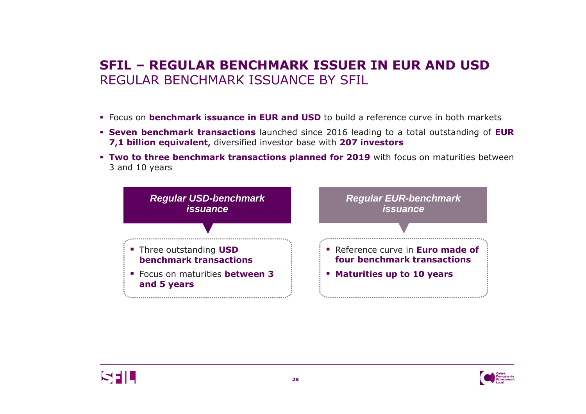# **SFIL – REGULAR BENCHMARK ISSUER IN EUR AND USD**  REGULAR BENCHMARK ISSUANCE BY SFIL

- Focus on **benchmark issuance in EUR and USD** to build <sup>a</sup> reference curve in both markets
- **Seven benchmark transactions** launched since 2016 leading to a total outstanding of **EUR**<br>**7.1 billion equivalent** diversified investor hase with **207 investors 7,1 billion equivalent,** diversified investor base with **<sup>207</sup> investors**
- **Two to three benchmark transactions planned for 2019** with focus on maturities between<br>3 and 10 years <sup>3</sup> and <sup>10</sup> years





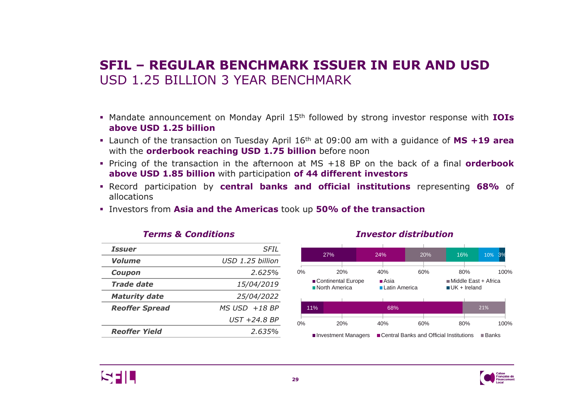### **SFIL – REGULAR BENCHMARK ISSUER IN EUR AND USD**  USD 1.25 BILLION 3 YEAR BENCHMARK

- Mandate announcement on Monday April <sup>15</sup>th followed by strong investor response with **IOIs above USD 1.25 billion**
- Launch of the transaction on Tuesday April <sup>16</sup>th at 09:00 am with <sup>a</sup> guidance of **MS +19 area** with the **orderbook reaching USD 1.75 billion** before noon
- Pricing of the transaction in the afternoon at MS +18 BP on the back of a final **orderbook**<br>above USD 1.85 billion with participation of 44 different investors **above USD 1.85 billion** with participation **of <sup>44</sup> different investors**
- Record participation by **central banks and official institutions** representing **68%** of allocations
- Investors from **Asia and the Americas** took up **50% of the transaction**

| <i><b>Issuer</b></i>  | SFIL              |
|-----------------------|-------------------|
| Volume                | USD 1.25 billion  |
| Coupon                | 2.625%            |
| Trade date            | 15/04/2019        |
| <b>Maturity date</b>  | 25/04/2022        |
| <b>Reoffer Spread</b> | $MS$ USD $+18$ BP |
|                       | UST +24.8 BP      |
| <b>Reoffer Yield</b>  | 2.635%            |
|                       |                   |



#### *Terms & Conditions Investor distribution*



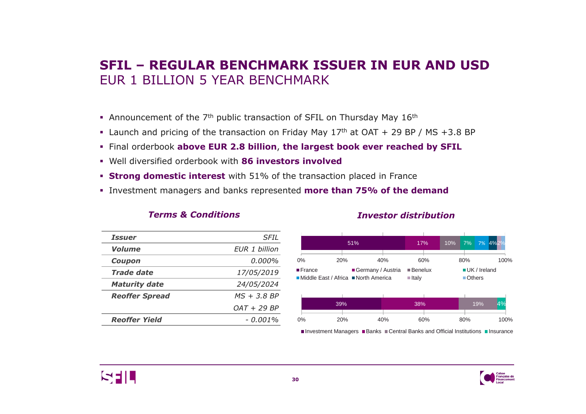### **SFIL – REGULAR BENCHMARK ISSUER IN EUR AND USD** EUR 1 BILLION 5 YEAR BENCHMARK

- **Announcement of the 7<sup>th</sup> public transaction of SFIL on Thursday May 16<sup>th</sup>**
- **Launch and pricing of the transaction on Friday May 17th at OAT + 29 BP / MS +3.8 BP**
- Final orderbook **above EUR 2.8 billion**, **the largest book ever reached by SFIL**
- Well diversified orderbook with **<sup>86</sup> investors involved**
- **Strong domestic interest** with 51% of the transaction placed in France
- Investment managers and banks represented **more than 75% of the demand**

| <i><b>Issuer</b></i>  | SFIL          |
|-----------------------|---------------|
| <b>Volume</b>         | FUR 1 billion |
| Coupon                | 0.000%        |
| Trade date            | 17/05/2019    |
| <b>Maturity date</b>  | 24/05/2024    |
| <b>Reoffer Spread</b> | $MS + 3.8 BP$ |
|                       | $OAT + 29 BP$ |
| <b>Reoffer Yield</b>  | - 0.001%      |
|                       |               |

*Terms & Conditions*

#### *Investor distribution*



Investment Managers ■Banks ■Central Banks and Official Institutions ■Insurance



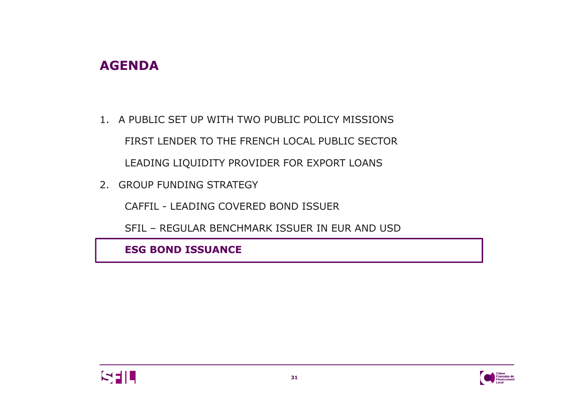## **AGENDA**

- 1. A PUBLIC SET UP WITH TWO PUBLIC POLICY MISSIONS FIRST LENDER TO THE FRENCH LOCAL PUBLIC SECTOR LEADING LIQUIDITY PROVIDER FOR EXPORT LOANS
- 2. GROUP FUNDING STRATEGY

CAFFIL - LEADING COVERED BOND ISSUER

SFIL – REGULAR BENCHMARK ISSUER IN EUR AND USD

**ESG BOND ISSUANCE** 



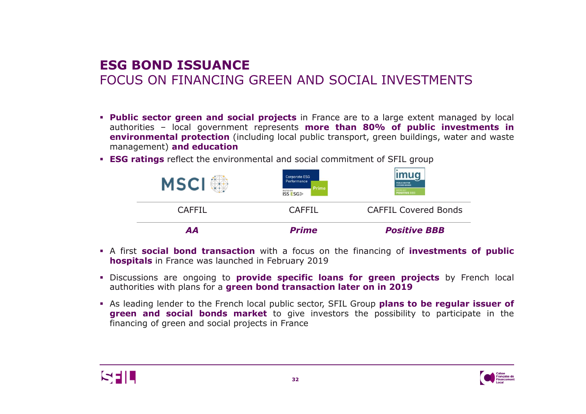## **ESG BOND ISSUANCE** FOCUS ON FINANCING GREEN AND SOCIAL INVESTMENTS

- **Public sector green and social projects** in France are to a large extent managed by local<br>authorities local government represents **more than 80% of public investments in** authorities – local government represents **more than 80% of public investments in environmental protection** (including local public transport, green buildings, water and waste management) **and education**
- **ESG ratings** reflect the environmental and social commitment of SFIL group<br>————————————————————



- <sup>A</sup> first **social bond transaction** with <sup>a</sup> focus on the financing of **investments of public hospitals** in France was launched in February <sup>2019</sup>
- Discussions are ongoing to **provide specific loans for green projects** by French local authorities with plans for <sup>a</sup> **green bond transaction later on in <sup>2019</sup>**
- As leading lender to the French local public sector, SFIL Group **plans to be regular issuer of green and social bonds market** to give investors the possibility to participate in the financing of green and social projects in France



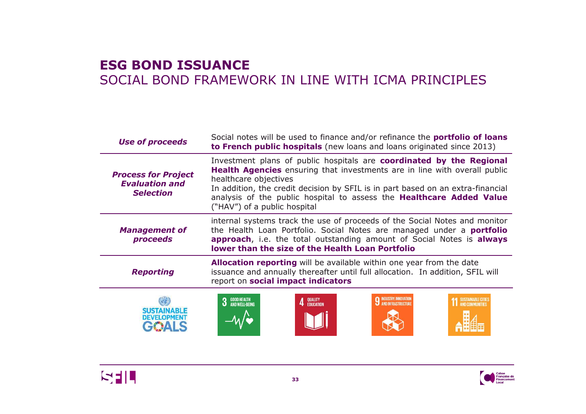### **ESG BOND ISSUANCE** SOCIAL BOND FRAMEWORK IN LINE WITH ICMA PRINCIPLES

| <b>Use of proceeds</b>                                                  | Social notes will be used to finance and/or refinance the <b>portfolio of loans</b><br>to French public hospitals (new loans and loans originated since 2013)                                                                                                                                                                                                                |  |  |
|-------------------------------------------------------------------------|------------------------------------------------------------------------------------------------------------------------------------------------------------------------------------------------------------------------------------------------------------------------------------------------------------------------------------------------------------------------------|--|--|
| <b>Process for Project</b><br><b>Evaluation and</b><br><b>Selection</b> | Investment plans of public hospitals are coordinated by the Regional<br><b>Health Agencies</b> ensuring that investments are in line with overall public<br>healthcare objectives<br>In addition, the credit decision by SFIL is in part based on an extra-financial<br>analysis of the public hospital to assess the Healthcare Added Value<br>("HAV") of a public hospital |  |  |
| <b>Management of</b><br>proceeds                                        | internal systems track the use of proceeds of the Social Notes and monitor<br>the Health Loan Portfolio. Social Notes are managed under a <b>portfolio</b><br>approach, i.e. the total outstanding amount of Social Notes is always<br>lower than the size of the Health Loan Portfolio                                                                                      |  |  |
| <b>Reporting</b>                                                        | Allocation reporting will be available within one year from the date<br>issuance and annually thereafter until full allocation. In addition, SFIL will<br>report on social impact indicators                                                                                                                                                                                 |  |  |
| <b>DEVELOPMENT</b>                                                      | <b>3</b> GOOD HEALTH<br><b>3</b> AND WELL-BEING<br>SUSTAINABLE CITTES<br>QUALITY<br>Education                                                                                                                                                                                                                                                                                |  |  |



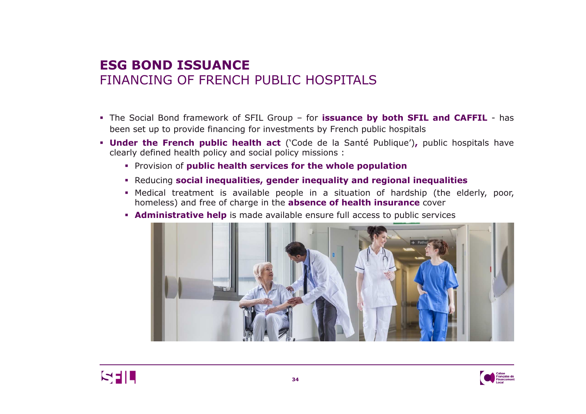#### **ESG BOND ISSUANCE** FINANCING OF FRENCH PUBLIC HOSPITALS

- The Social Bond framework of SFIL Group for **issuance by both SFIL and CAFFIL** has been set up to provide financing for investments by French public hospitals
- **IDITY IS 2018 THEORY IS 2018 THEORY IS 2019 UNITY ARTLE <b>Direct Code de la Santé Publique')**, public hospitals have clearly defined health policy and social policy missions clearly defined health policy and social policy missions :
	- Provision of **public health services for the whole population**
	- Reducing **social inequalities, gender inequality and regional inequalities**
	- **Medical treatment is available people in a situation of hardship (the elderly, poor,**<br>homeless) and free of charge in the **absence of health insurance** cover homeless) and free of charge in the **absence of health insurance** cover
	- **Administrative help** is made available ensure full access to public services





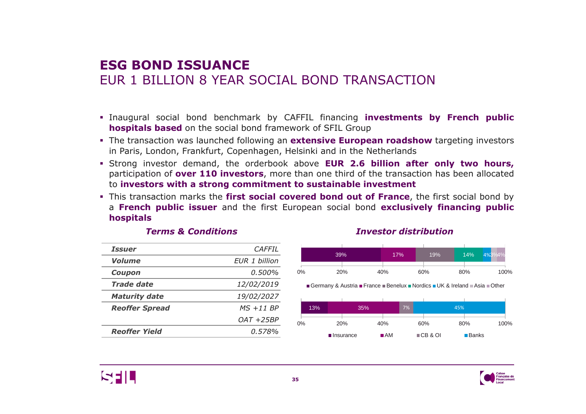# **ESG BOND ISSUANCE** EUR 1 BILLION 8 YEAR SOCIAL BOND TRANSACTION

- Inaugural social bond benchmark by CAFFIL financing **investments by French public hospitals based** on the social bond framework of SFIL Group
- The transaction was launched following an **extensive European roadshow** targeting investors in Paris, London, Frankfurt, Copenhagen, Helsinki and in the Netherlands
- Strong investor demand, the orderbook above **EUR 2.6 billion after only two hours,** participation of **over <sup>110</sup> investors**, more than one third of the transaction has been allocated to **investors with <sup>a</sup> strong commitment to sustainable investment**
- This transaction marks the **first social covered bond out of France**, the first social bond by a **French public issuer** and the first European social bond **exclusively financing public hospitals**

| <i><b>Issuer</b></i>  | CAFFIL        |
|-----------------------|---------------|
| Volume                | FUR 1 billion |
| Coupon                | 0.500%        |
| Trade date            | 12/02/2019    |
| <b>Maturity date</b>  | 19/02/2027    |
| <b>Reoffer Spread</b> | $MS + 11 BP$  |
|                       | $OAT + 25BP$  |
| <b>Reoffer Yield</b>  | 0.578%        |
|                       |               |

#### *Terms & Conditions Investor distribution*



Germany & Austria **■** France ■Benelux ■Nordics ■UK & Ireland ■Asia ■Other





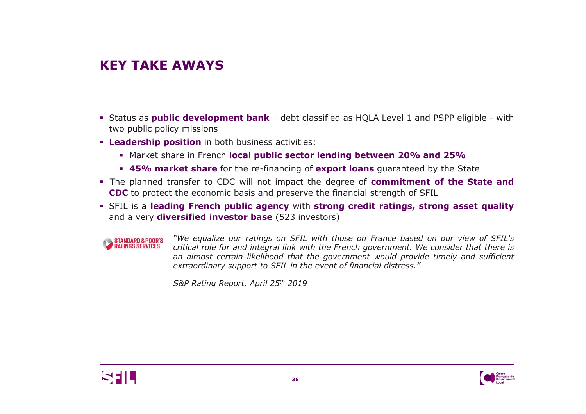# **KEY TAKE AWAYS**

- Status as **public development bank** debt classified as HQLA Level <sup>1</sup> and PSPP eligible with two public policy missions
- **Leadership position** in both business activities:<br> **Leadership position** in both business activities:
	- Market share in French **local public sector lending between 20% and 25%**
	- **45% market share** for the re-financing of **export loans** guaranteed by the State
- **Fig. 1** The planned transfer to CDC will not impact the degree of **commitment of the State and**<br>**CDC** to protect the economic basis and presence the financial strength of SEU **CDC** to protect the economic basis and preserve the financial strength of SFIL<br>
eru in the street of the street of the street of the street of the street of the street of the street of the s
- SFIL is <sup>a</sup> **leading French public agency** with **strong credit ratings, strong asset quality** and <sup>a</sup> very **diversified investor base** (523 investors)

**STANDARD & POOR'S**<br>RATINGS SERVICES

"We equalize our ratings on SFIL with those on France based on our view of SFIL's critical role for and integral link with the French government. We consider that there is an almost certain likelihood that the government would provide timely and sufficient *extraordinary support to SFIL in the event of financial distress."*

*S&P Rating Report, April <sup>25</sup>th <sup>2019</sup>*